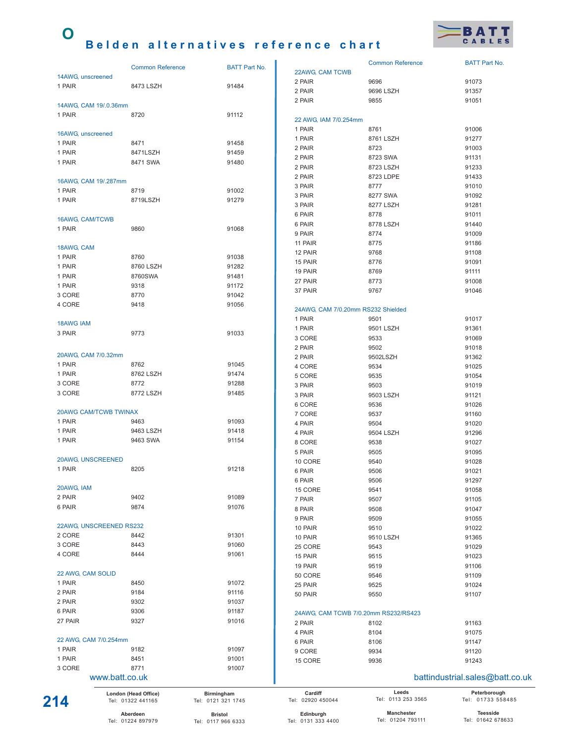## **O Belden alternatives reference chart**



|                  | London (Head Office)<br>Tel: 01322 441165 | Birmingham<br>Tel: 0121 321 1745 | Cardiff<br>Tel: 02920 450044       | Leeds<br>Tel: 0113 253 3565          | Peterborough<br>Tel: 01733 558485 |
|------------------|-------------------------------------------|----------------------------------|------------------------------------|--------------------------------------|-----------------------------------|
|                  | www.batt.co.uk                            |                                  |                                    |                                      | battindustrial.sales@batt.co.uk   |
| 3 CORE           | 8771                                      | 91007                            |                                    |                                      |                                   |
| 1 PAIR           | 8451                                      | 91001                            | 15 CORE                            | 9936                                 | 91243                             |
| 1 PAIR           | 9182                                      | 91097                            | 9 CORE                             | 9934                                 | 91120                             |
|                  | 22 AWG, CAM 7/0.254mm                     |                                  | 6 PAIR                             | 8106                                 | 91147                             |
|                  |                                           |                                  | 4 PAIR                             | 8104                                 | 91075                             |
| 27 PAIR          | 9327                                      | 91016                            | 2 PAIR                             | 8102                                 | 91163                             |
| 6 PAIR           | 9306                                      | 91187                            |                                    | 24AWG, CAM TCWB 7/0.20mm RS232/RS423 |                                   |
| 2 PAIR           | 9302                                      | 91037                            |                                    |                                      |                                   |
| 2 PAIR           | 9184                                      | 91116                            | 50 PAIR                            | 9550                                 | 91107                             |
| 1 PAIR           | 8450                                      | 91072                            | 25 PAIR                            | 9525                                 | 91024                             |
|                  | 22 AWG, CAM SOLID                         |                                  | 50 CORE                            | 9546                                 | 91109                             |
|                  |                                           |                                  | 19 PAIR                            | 9519                                 | 91106                             |
| 4 CORE           | 8444                                      | 91061                            | 15 PAIR                            | 9515                                 | 91023                             |
| 3 CORE           | 8443                                      | 91060                            | 25 CORE                            | 9543                                 | 91029                             |
| 2 CORE           | 8442                                      | 91301                            | 10 PAIR                            | 9510 LSZH                            | 91365                             |
|                  | 22AWG, UNSCREENED RS232                   |                                  | 10 PAIR                            | 9510                                 | 91022                             |
|                  |                                           |                                  | 9 PAIR                             | 9509                                 | 91055                             |
| 6 PAIR           | 9874                                      | 91076                            | 8 PAIR                             | 9508                                 | 91047                             |
| 2 PAIR           | 9402                                      | 91089                            | 7 PAIR                             | 9507                                 | 91105                             |
| 20AWG, IAM       |                                           |                                  | 15 CORE                            | 9541                                 | 91058                             |
|                  |                                           |                                  | 6 PAIR                             | 9506                                 | 91297                             |
| 1 PAIR           | 8205                                      | 91218                            | 6 PAIR                             | 9506                                 | 91021                             |
|                  | 20AWG, UNSCREENED                         |                                  | 10 CORE                            | 9540                                 | 91028                             |
|                  |                                           |                                  | 5 PAIR                             | 9505                                 | 91095                             |
| 1 PAIR           | 9463 SWA                                  | 91154                            | 8 CORE                             | 9538                                 | 91027                             |
| 1 PAIR           | 9463 LSZH                                 | 91418                            | 4 PAIR                             | 9504 LSZH                            | 91296                             |
| 1 PAIR           | 9463                                      | 91093                            | 4 PAIR                             | 9504                                 | 91020                             |
|                  | 20AWG CAM/TCWB TWINAX                     |                                  | 7 CORE                             | 9537                                 | 91160                             |
|                  |                                           |                                  | 6 CORE                             | 9536                                 | 91026                             |
| 3 CORE           | 8772 LSZH                                 | 91485                            | 3 PAIR                             | 9503 LSZH                            | 91121                             |
| 3 CORE           | 8772                                      | 91288                            | 3 PAIR                             | 9503                                 | 91019                             |
| 1 PAIR           | 8762 LSZH                                 | 91474                            | 5 CORE                             | 9535                                 | 91054                             |
| 1 PAIR           | 8762                                      | 91045                            | 4 CORE                             | 9534                                 | 91025                             |
|                  | 20AWG, CAM 7/0.32mm                       |                                  | 2 PAIR                             | 9502LSZH                             | 91362                             |
|                  |                                           |                                  | 2 PAIR                             | 9502                                 | 91018                             |
|                  |                                           |                                  | 3 CORE                             | 9533                                 | 91069                             |
| 3 PAIR           | 9773                                      | 91033                            | 1 PAIR                             | 9501 LSZH                            | 91361                             |
| <b>18AWG IAM</b> |                                           |                                  | 1 PAIR                             | 9501                                 | 91017                             |
|                  |                                           |                                  | 24AWG, CAM 7/0.20mm RS232 Shielded |                                      |                                   |
| 4 CORE           | 9418                                      | 91056                            |                                    |                                      |                                   |
| 3 CORE           | 8770                                      | 91042                            | 37 PAIR                            | 9767                                 | 91046                             |
| 1 PAIR           | 9318                                      | 91172                            | 27 PAIR                            | 8773                                 | 91008                             |
| 1 PAIR           | 8760SWA                                   | 91481                            | 19 PAIR                            | 8769                                 | 91111                             |
| 1 PAIR           | 8760 LSZH                                 | 91282                            | 15 PAIR                            | 8776                                 | 91091                             |
| 1 PAIR           | 8760                                      | 91038                            | 12 PAIR                            | 9768                                 | 91108                             |
| 18AWG, CAM       |                                           |                                  | 11 PAIR                            | 8775                                 | 91186                             |
|                  |                                           |                                  | 9 PAIR                             | 8774                                 | 91009                             |
| 1 PAIR           | 9860                                      | 91068                            | 6 PAIR                             | 8778 LSZH                            | 91440                             |
|                  | 16AWG, CAM/TCWB                           |                                  | 6 PAIR                             | 8778                                 | 91011                             |
|                  |                                           |                                  | 3 PAIR                             | 8277 LSZH                            | 91281                             |
| 1 PAIR           | 8719LSZH                                  | 91279                            | 3 PAIR                             | 8277 SWA                             | 91092                             |
| 1 PAIR           | 8719                                      | 91002                            | 3 PAIR                             | 8777                                 | 91010                             |
|                  | 16AWG, CAM 19/.287mm                      |                                  | 2 PAIR                             | 8723 LDPE                            | 91433                             |
|                  |                                           |                                  | 2 PAIR                             | 8723 LSZH                            | 91233                             |
| 1 PAIR           | 8471 SWA                                  | 91480                            | 2 PAIR                             | 8723 SWA                             | 91131                             |
| 1 PAIR           | 8471LSZH                                  | 91459                            | 2 PAIR                             |                                      |                                   |
| 1 PAIR           | 8471                                      | 91458                            |                                    | 8723                                 | 91003                             |
|                  | 16AWG, unscreened                         |                                  | 1 PAIR                             | 8761 LSZH                            | 91277                             |
|                  |                                           |                                  | 1 PAIR                             | 8761                                 | 91006                             |
| 1 PAIR           | 8720                                      | 91112                            | 22 AWG, IAM 7/0.254mm              |                                      |                                   |
|                  | 14AWG, CAM 19/.0.36mm                     |                                  | 2 PAIR                             | 9855                                 | 91051                             |
|                  |                                           |                                  | 2 PAIR                             | 9696 LSZH                            | 91357                             |
| 1 PAIR           | 8473 LSZH                                 | 91484                            | 2 PAIR                             | 9696                                 | 91073                             |
|                  | 14AWG, unscreened                         |                                  | 22AWG, CAM TCWB                    |                                      |                                   |
|                  | <b>Common Reference</b>                   | <b>BATT Part No.</b>             |                                    | <b>Common Reference</b>              | <b>BATT Part No.</b>              |
|                  |                                           |                                  |                                    |                                      |                                   |

**Aberdeen** Tel: 01224 897979

**Bristol** Tel: 0117 966 6333 **Edinburgh** Tel: 0131 333 4400

**Teesside** Tel: 01642 678633

**Manchester** Tel: 01204 793111